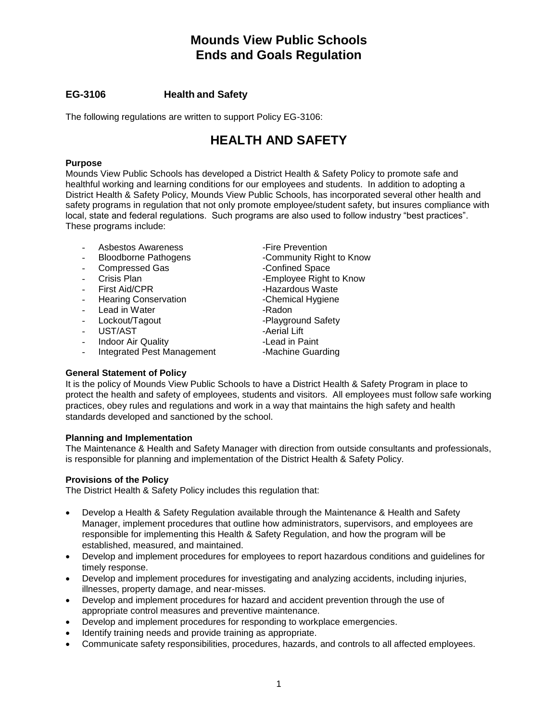# **EG-3106 Health and Safety**

The following regulations are written to support Policy EG-3106:

# **HEALTH AND SAFETY**

## **Purpose**

Mounds View Public Schools has developed a District Health & Safety Policy to promote safe and healthful working and learning conditions for our employees and students. In addition to adopting a District Health & Safety Policy, Mounds View Public Schools, has incorporated several other health and safety programs in regulation that not only promote employee/student safety, but insures compliance with local, state and federal regulations. Such programs are also used to follow industry "best practices". These programs include:

- Asbestos Awareness Tire Prevention
- Bloodborne Pathogens **-Community Right to Know**
- Compressed Gas Confined Space<br>Crisis Plan Confined Space<br>-Employee Right
- 
- 
- Hearing Conservation **Figure 1** -Chemical Hygiene
- Lead in Water **All Accord Contract Contract Contract Contract Contract Contract Contract Contract Contract Contract Contract Contract Contract Contract Contract Contract Contract Contract Contract Contract Contract Contrac**
- Lockout/Tagout Playground Safety
- UST/AST CONTAINMENT Aerial Lift
- Indoor Air Quality **All Accord 20 Finds** -Lead in Paint
- Integrated Pest Management -Machine Guarding
- 
- 
- Employee Right to Know
- First Aid/CPR The Second Latin Hazardous Waste
	-
	-
	-
	-
	-
	-

## **General Statement of Policy**

It is the policy of Mounds View Public Schools to have a District Health & Safety Program in place to protect the health and safety of employees, students and visitors. All employees must follow safe working practices, obey rules and regulations and work in a way that maintains the high safety and health standards developed and sanctioned by the school.

## **Planning and Implementation**

The Maintenance & Health and Safety Manager with direction from outside consultants and professionals, is responsible for planning and implementation of the District Health & Safety Policy.

## **Provisions of the Policy**

The District Health & Safety Policy includes this regulation that:

- Develop a Health & Safety Regulation available through the Maintenance & Health and Safety Manager, implement procedures that outline how administrators, supervisors, and employees are responsible for implementing this Health & Safety Regulation, and how the program will be established, measured, and maintained.
- Develop and implement procedures for employees to report hazardous conditions and guidelines for timely response.
- Develop and implement procedures for investigating and analyzing accidents, including injuries, illnesses, property damage, and near-misses.
- Develop and implement procedures for hazard and accident prevention through the use of appropriate control measures and preventive maintenance.
- Develop and implement procedures for responding to workplace emergencies.
- Identify training needs and provide training as appropriate.
- Communicate safety responsibilities, procedures, hazards, and controls to all affected employees.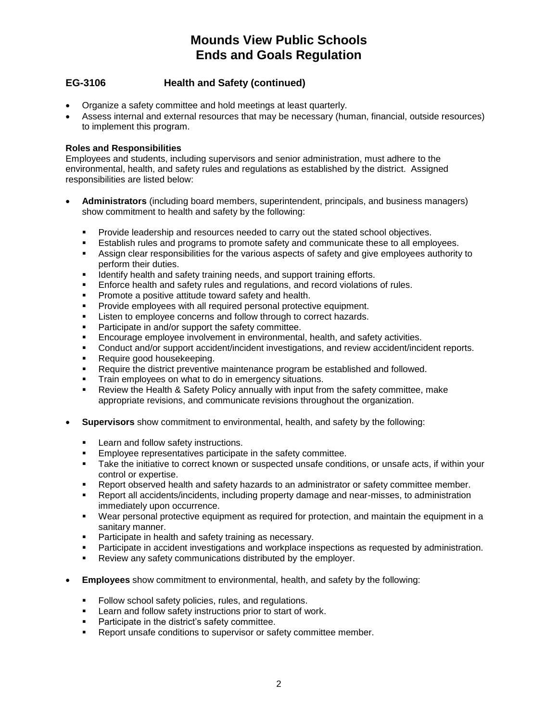# **EG-3106 Health and Safety (continued)**

- Organize a safety committee and hold meetings at least quarterly.
- Assess internal and external resources that may be necessary (human, financial, outside resources) to implement this program.

## **Roles and Responsibilities**

Employees and students, including supervisors and senior administration, must adhere to the environmental, health, and safety rules and regulations as established by the district. Assigned responsibilities are listed below:

- **Administrators** (including board members, superintendent, principals, and business managers) show commitment to health and safety by the following:
	- **•** Provide leadership and resources needed to carry out the stated school objectives.
	- **E** Establish rules and programs to promote safety and communicate these to all employees.
	- **EXECT** Assign clear responsibilities for the various aspects of safety and give employees authority to perform their duties.
	- **■** Identify health and safety training needs, and support training efforts.
	- **Enforce health and safety rules and regulations, and record violations of rules.**
	- **•** Promote a positive attitude toward safety and health.
	- **•** Provide employees with all required personal protective equipment.
	- **EXECTE:** Listen to employee concerns and follow through to correct hazards.
	- Participate in and/or support the safety committee.
	- Encourage employee involvement in environmental, health, and safety activities.
	- Conduct and/or support accident/incident investigations, and review accident/incident reports.
	- Require good housekeeping.
	- Require the district preventive maintenance program be established and followed.
	- **•** Train employees on what to do in emergency situations.
	- Review the Health & Safety Policy annually with input from the safety committee, make appropriate revisions, and communicate revisions throughout the organization.
- **Supervisors** show commitment to environmental, health, and safety by the following:
	- **EXECTE 10 EXECTE 10 FOR 10 FEAT** Learn and follow safety instructions.
	- Employee representatives participate in the safety committee.
	- **EXECT** Take the initiative to correct known or suspected unsafe conditions, or unsafe acts, if within your control or expertise.
	- Report observed health and safety hazards to an administrator or safety committee member.
	- Report all accidents/incidents, including property damage and near-misses, to administration immediately upon occurrence.
	- Wear personal protective equipment as required for protection, and maintain the equipment in a sanitary manner.
	- Participate in health and safety training as necessary.
	- Participate in accident investigations and workplace inspections as requested by administration.
	- Review any safety communications distributed by the employer.
- **Employees** show commitment to environmental, health, and safety by the following:
	- **•** Follow school safety policies, rules, and regulations.
	- Learn and follow safety instructions prior to start of work.
	- Participate in the district's safety committee.
	- Report unsafe conditions to supervisor or safety committee member.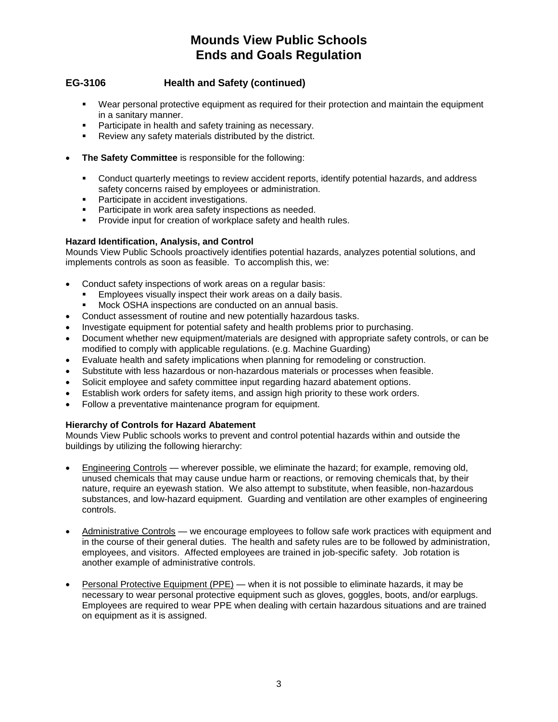# **EG-3106 Health and Safety (continued)**

- Wear personal protective equipment as required for their protection and maintain the equipment in a sanitary manner.
- **•** Participate in health and safety training as necessary.
- Review any safety materials distributed by the district.
- **The Safety Committee** is responsible for the following:
	- Conduct quarterly meetings to review accident reports, identify potential hazards, and address safety concerns raised by employees or administration.
	- Participate in accident investigations.
	- Participate in work area safety inspections as needed.
	- **•** Provide input for creation of workplace safety and health rules.

## **Hazard Identification, Analysis, and Control**

Mounds View Public Schools proactively identifies potential hazards, analyzes potential solutions, and implements controls as soon as feasible. To accomplish this, we:

- Conduct safety inspections of work areas on a regular basis:
	- Employees visually inspect their work areas on a daily basis.
	- Mock OSHA inspections are conducted on an annual basis.
- Conduct assessment of routine and new potentially hazardous tasks.
- Investigate equipment for potential safety and health problems prior to purchasing.
- Document whether new equipment/materials are designed with appropriate safety controls, or can be modified to comply with applicable regulations. (e.g. Machine Guarding)
- Evaluate health and safety implications when planning for remodeling or construction.
- Substitute with less hazardous or non-hazardous materials or processes when feasible.
- Solicit employee and safety committee input regarding hazard abatement options.
- Establish work orders for safety items, and assign high priority to these work orders.
- Follow a preventative maintenance program for equipment.

#### **Hierarchy of Controls for Hazard Abatement**

Mounds View Public schools works to prevent and control potential hazards within and outside the buildings by utilizing the following hierarchy:

- Engineering Controls wherever possible, we eliminate the hazard; for example, removing old, unused chemicals that may cause undue harm or reactions, or removing chemicals that, by their nature, require an eyewash station. We also attempt to substitute, when feasible, non-hazardous substances, and low-hazard equipment. Guarding and ventilation are other examples of engineering controls.
- Administrative Controls we encourage employees to follow safe work practices with equipment and in the course of their general duties. The health and safety rules are to be followed by administration, employees, and visitors. Affected employees are trained in job-specific safety. Job rotation is another example of administrative controls.
- Personal Protective Equipment (PPE) when it is not possible to eliminate hazards, it may be necessary to wear personal protective equipment such as gloves, goggles, boots, and/or earplugs. Employees are required to wear PPE when dealing with certain hazardous situations and are trained on equipment as it is assigned.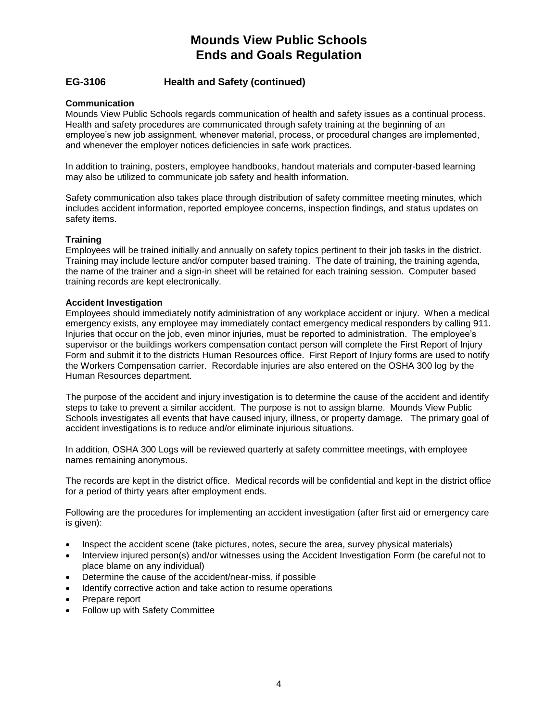# **EG-3106 Health and Safety (continued)**

## **Communication**

Mounds View Public Schools regards communication of health and safety issues as a continual process. Health and safety procedures are communicated through safety training at the beginning of an employee's new job assignment, whenever material, process, or procedural changes are implemented, and whenever the employer notices deficiencies in safe work practices.

In addition to training, posters, employee handbooks, handout materials and computer-based learning may also be utilized to communicate job safety and health information.

Safety communication also takes place through distribution of safety committee meeting minutes, which includes accident information, reported employee concerns, inspection findings, and status updates on safety items.

#### **Training**

Employees will be trained initially and annually on safety topics pertinent to their job tasks in the district. Training may include lecture and/or computer based training. The date of training, the training agenda, the name of the trainer and a sign-in sheet will be retained for each training session. Computer based training records are kept electronically.

#### **Accident Investigation**

Employees should immediately notify administration of any workplace accident or injury. When a medical emergency exists, any employee may immediately contact emergency medical responders by calling 911. Injuries that occur on the job, even minor injuries, must be reported to administration. The employee's supervisor or the buildings workers compensation contact person will complete the First Report of Injury Form and submit it to the districts Human Resources office. First Report of Injury forms are used to notify the Workers Compensation carrier. Recordable injuries are also entered on the OSHA 300 log by the Human Resources department.

The purpose of the accident and injury investigation is to determine the cause of the accident and identify steps to take to prevent a similar accident. The purpose is not to assign blame. Mounds View Public Schools investigates all events that have caused injury, illness, or property damage. The primary goal of accident investigations is to reduce and/or eliminate injurious situations.

In addition, OSHA 300 Logs will be reviewed quarterly at safety committee meetings, with employee names remaining anonymous.

The records are kept in the district office. Medical records will be confidential and kept in the district office for a period of thirty years after employment ends.

Following are the procedures for implementing an accident investigation (after first aid or emergency care is given):

- Inspect the accident scene (take pictures, notes, secure the area, survey physical materials)
- Interview injured person(s) and/or witnesses using the Accident Investigation Form (be careful not to place blame on any individual)
- Determine the cause of the accident/near-miss, if possible
- Identify corrective action and take action to resume operations
- Prepare report
- Follow up with Safety Committee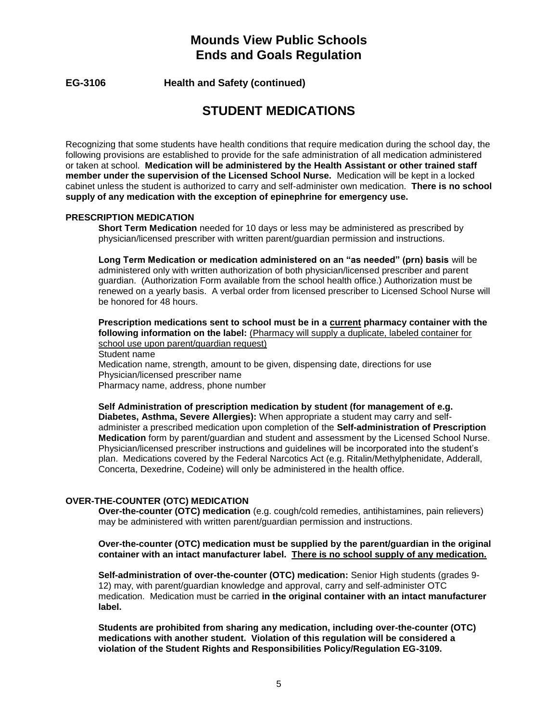**EG-3106 Health and Safety (continued)**

# **STUDENT MEDICATIONS**

Recognizing that some students have health conditions that require medication during the school day, the following provisions are established to provide for the safe administration of all medication administered or taken at school. **Medication will be administered by the Health Assistant or other trained staff member under the supervision of the Licensed School Nurse.** Medication will be kept in a locked cabinet unless the student is authorized to carry and self-administer own medication. **There is no school supply of any medication with the exception of epinephrine for emergency use.**

## **PRESCRIPTION MEDICATION**

**Short Term Medication** needed for 10 days or less may be administered as prescribed by physician/licensed prescriber with written parent/guardian permission and instructions.

**Long Term Medication or medication administered on an "as needed" (prn) basis** will be administered only with written authorization of both physician/licensed prescriber and parent guardian. (Authorization Form available from the school health office.) Authorization must be renewed on a yearly basis. A verbal order from licensed prescriber to Licensed School Nurse will be honored for 48 hours.

**Prescription medications sent to school must be in a current pharmacy container with the following information on the label:** (Pharmacy will supply a duplicate, labeled container for school use upon parent/guardian request) Student name Medication name, strength, amount to be given, dispensing date, directions for use

Physician/licensed prescriber name

Pharmacy name, address, phone number

**Self Administration of prescription medication by student (for management of e.g. Diabetes, Asthma, Severe Allergies):** When appropriate a student may carry and selfadminister a prescribed medication upon completion of the **Self-administration of Prescription Medication** form by parent/guardian and student and assessment by the Licensed School Nurse. Physician/licensed prescriber instructions and guidelines will be incorporated into the student's plan. Medications covered by the Federal Narcotics Act (e.g. Ritalin/Methylphenidate, Adderall, Concerta, Dexedrine, Codeine) will only be administered in the health office.

## **OVER-THE-COUNTER (OTC) MEDICATION**

**Over-the-counter (OTC) medication** (e.g. cough/cold remedies, antihistamines, pain relievers) may be administered with written parent/guardian permission and instructions.

#### **Over-the-counter (OTC) medication must be supplied by the parent/guardian in the original container with an intact manufacturer label. There is no school supply of any medication.**

**Self-administration of over-the-counter (OTC) medication:** Senior High students (grades 9- 12) may, with parent/guardian knowledge and approval, carry and self-administer OTC medication. Medication must be carried **in the original container with an intact manufacturer label.** 

**Students are prohibited from sharing any medication, including over-the-counter (OTC) medications with another student. Violation of this regulation will be considered a violation of the Student Rights and Responsibilities Policy/Regulation EG-3109.**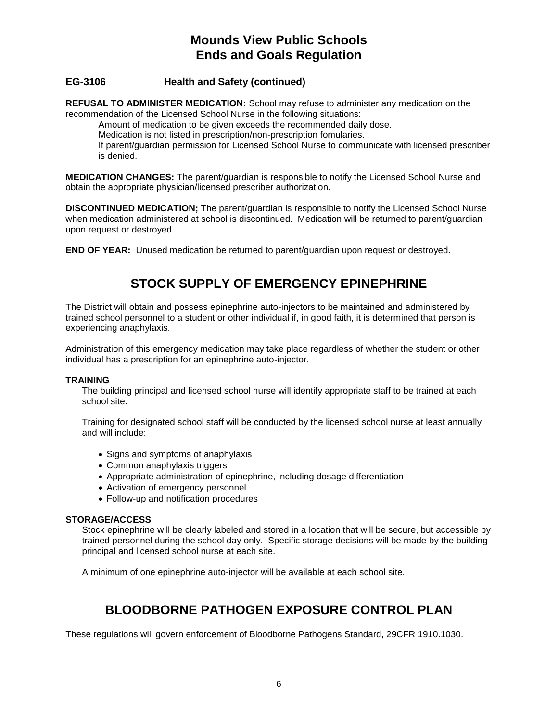# **EG-3106 Health and Safety (continued)**

**REFUSAL TO ADMINISTER MEDICATION:** School may refuse to administer any medication on the recommendation of the Licensed School Nurse in the following situations:

Amount of medication to be given exceeds the recommended daily dose.

Medication is not listed in prescription/non-prescription fomularies.

If parent/guardian permission for Licensed School Nurse to communicate with licensed prescriber is denied.

**MEDICATION CHANGES:** The parent/guardian is responsible to notify the Licensed School Nurse and obtain the appropriate physician/licensed prescriber authorization.

**DISCONTINUED MEDICATION;** The parent/guardian is responsible to notify the Licensed School Nurse when medication administered at school is discontinued. Medication will be returned to parent/guardian upon request or destroyed.

**END OF YEAR:** Unused medication be returned to parent/guardian upon request or destroyed.

# **STOCK SUPPLY OF EMERGENCY EPINEPHRINE**

The District will obtain and possess epinephrine auto-injectors to be maintained and administered by trained school personnel to a student or other individual if, in good faith, it is determined that person is experiencing anaphylaxis.

Administration of this emergency medication may take place regardless of whether the student or other individual has a prescription for an epinephrine auto-injector.

#### **TRAINING**

The building principal and licensed school nurse will identify appropriate staff to be trained at each school site.

Training for designated school staff will be conducted by the licensed school nurse at least annually and will include:

- Signs and symptoms of anaphylaxis
- Common anaphylaxis triggers
- Appropriate administration of epinephrine, including dosage differentiation
- Activation of emergency personnel
- Follow-up and notification procedures

#### **STORAGE/ACCESS**

Stock epinephrine will be clearly labeled and stored in a location that will be secure, but accessible by trained personnel during the school day only. Specific storage decisions will be made by the building principal and licensed school nurse at each site.

A minimum of one epinephrine auto-injector will be available at each school site.

# **BLOODBORNE PATHOGEN EXPOSURE CONTROL PLAN**

These regulations will govern enforcement of Bloodborne Pathogens Standard, 29CFR 1910.1030.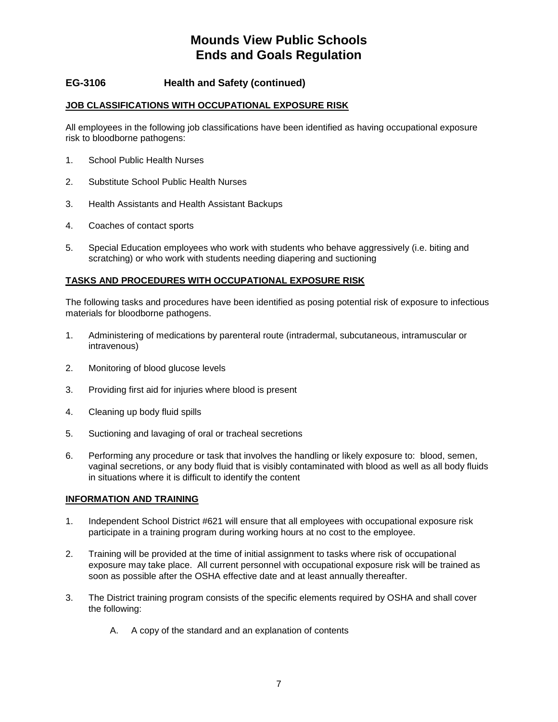# **EG-3106 Health and Safety (continued)**

## **JOB CLASSIFICATIONS WITH OCCUPATIONAL EXPOSURE RISK**

All employees in the following job classifications have been identified as having occupational exposure risk to bloodborne pathogens:

- 1. School Public Health Nurses
- 2. Substitute School Public Health Nurses
- 3. Health Assistants and Health Assistant Backups
- 4. Coaches of contact sports
- 5. Special Education employees who work with students who behave aggressively (i.e. biting and scratching) or who work with students needing diapering and suctioning

## **TASKS AND PROCEDURES WITH OCCUPATIONAL EXPOSURE RISK**

The following tasks and procedures have been identified as posing potential risk of exposure to infectious materials for bloodborne pathogens.

- 1. Administering of medications by parenteral route (intradermal, subcutaneous, intramuscular or intravenous)
- 2. Monitoring of blood glucose levels
- 3. Providing first aid for injuries where blood is present
- 4. Cleaning up body fluid spills
- 5. Suctioning and lavaging of oral or tracheal secretions
- 6. Performing any procedure or task that involves the handling or likely exposure to: blood, semen, vaginal secretions, or any body fluid that is visibly contaminated with blood as well as all body fluids in situations where it is difficult to identify the content

## **INFORMATION AND TRAINING**

- 1. Independent School District #621 will ensure that all employees with occupational exposure risk participate in a training program during working hours at no cost to the employee.
- 2. Training will be provided at the time of initial assignment to tasks where risk of occupational exposure may take place. All current personnel with occupational exposure risk will be trained as soon as possible after the OSHA effective date and at least annually thereafter.
- 3. The District training program consists of the specific elements required by OSHA and shall cover the following:
	- A. A copy of the standard and an explanation of contents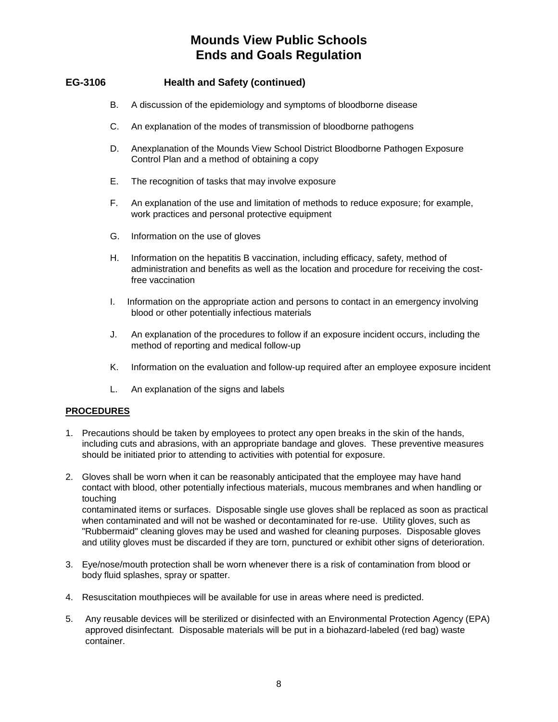# **EG-3106 Health and Safety (continued)**

- B. A discussion of the epidemiology and symptoms of bloodborne disease
- C. An explanation of the modes of transmission of bloodborne pathogens
- D. Anexplanation of the Mounds View School District Bloodborne Pathogen Exposure Control Plan and a method of obtaining a copy
- E. The recognition of tasks that may involve exposure
- F. An explanation of the use and limitation of methods to reduce exposure; for example, work practices and personal protective equipment
- G. Information on the use of gloves
- H. Information on the hepatitis B vaccination, including efficacy, safety, method of administration and benefits as well as the location and procedure for receiving the costfree vaccination
- I. Information on the appropriate action and persons to contact in an emergency involving blood or other potentially infectious materials
- J. An explanation of the procedures to follow if an exposure incident occurs, including the method of reporting and medical follow-up
- K. Information on the evaluation and follow-up required after an employee exposure incident
- L. An explanation of the signs and labels

## **PROCEDURES**

- 1. Precautions should be taken by employees to protect any open breaks in the skin of the hands, including cuts and abrasions, with an appropriate bandage and gloves. These preventive measures should be initiated prior to attending to activities with potential for exposure.
- 2. Gloves shall be worn when it can be reasonably anticipated that the employee may have hand contact with blood, other potentially infectious materials, mucous membranes and when handling or touching contaminated items or surfaces. Disposable single use gloves shall be replaced as soon as practical when contaminated and will not be washed or decontaminated for re-use. Utility gloves, such as "Rubbermaid" cleaning gloves may be used and washed for cleaning purposes. Disposable gloves and utility gloves must be discarded if they are torn, punctured or exhibit other signs of deterioration.
- 3. Eye/nose/mouth protection shall be worn whenever there is a risk of contamination from blood or body fluid splashes, spray or spatter.
- 4. Resuscitation mouthpieces will be available for use in areas where need is predicted.
- 5. Any reusable devices will be sterilized or disinfected with an Environmental Protection Agency (EPA) approved disinfectant. Disposable materials will be put in a biohazard-labeled (red bag) waste container.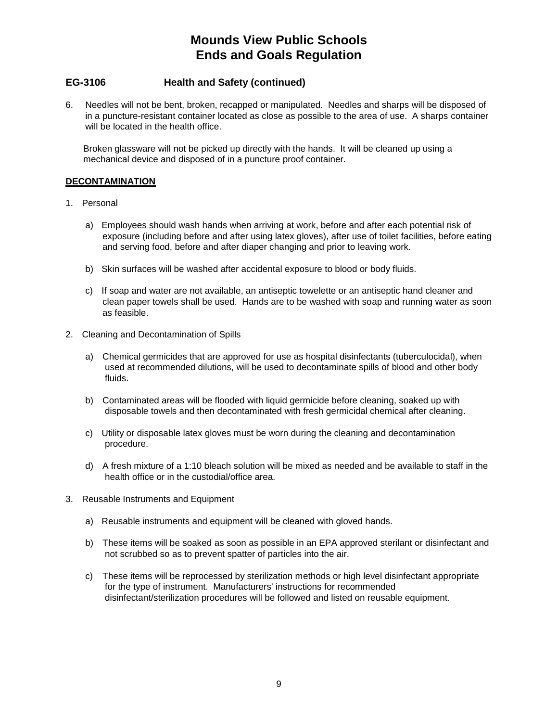# **EG-3106 Health and Safety (continued)**

6. Needles will not be bent, broken, recapped or manipulated. Needles and sharps will be disposed of in a puncture-resistant container located as close as possible to the area of use. A sharps container will be located in the health office.

 Broken glassware will not be picked up directly with the hands. It will be cleaned up using a mechanical device and disposed of in a puncture proof container.

## **DECONTAMINATION**

- 1. Personal
	- a) Employees should wash hands when arriving at work, before and after each potential risk of exposure (including before and after using latex gloves), after use of toilet facilities, before eating and serving food, before and after diaper changing and prior to leaving work.
	- b) Skin surfaces will be washed after accidental exposure to blood or body fluids.
	- c) If soap and water are not available, an antiseptic towelette or an antiseptic hand cleaner and clean paper towels shall be used. Hands are to be washed with soap and running water as soon as feasible.
- 2. Cleaning and Decontamination of Spills
	- a) Chemical germicides that are approved for use as hospital disinfectants (tuberculocidal), when used at recommended dilutions, will be used to decontaminate spills of blood and other body fluids.
	- b) Contaminated areas will be flooded with liquid germicide before cleaning, soaked up with disposable towels and then decontaminated with fresh germicidal chemical after cleaning.
	- c) Utility or disposable latex gloves must be worn during the cleaning and decontamination procedure.
	- d) A fresh mixture of a 1:10 bleach solution will be mixed as needed and be available to staff in the health office or in the custodial/office area.
- 3. Reusable Instruments and Equipment
	- a) Reusable instruments and equipment will be cleaned with gloved hands.
	- b) These items will be soaked as soon as possible in an EPA approved sterilant or disinfectant and not scrubbed so as to prevent spatter of particles into the air.
	- c) These items will be reprocessed by sterilization methods or high level disinfectant appropriate for the type of instrument. Manufacturers' instructions for recommended disinfectant/sterilization procedures will be followed and listed on reusable equipment.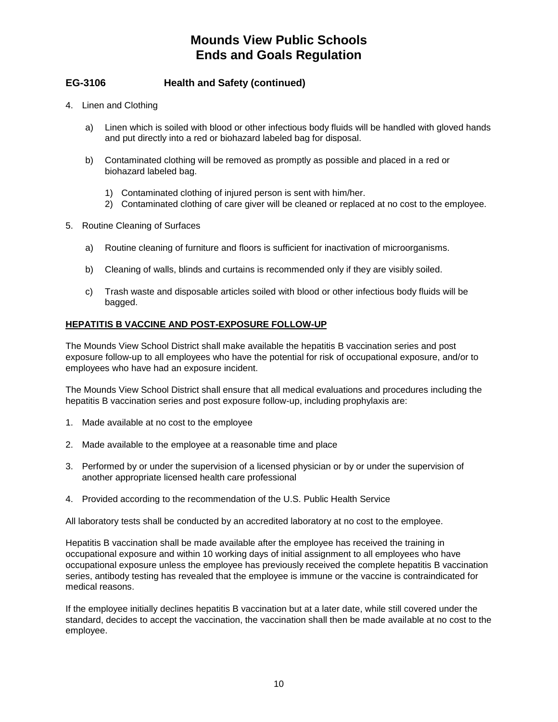# **EG-3106 Health and Safety (continued)**

- 4. Linen and Clothing
	- a) Linen which is soiled with blood or other infectious body fluids will be handled with gloved hands and put directly into a red or biohazard labeled bag for disposal.
	- b) Contaminated clothing will be removed as promptly as possible and placed in a red or biohazard labeled bag.
		- 1) Contaminated clothing of injured person is sent with him/her.
		- 2) Contaminated clothing of care giver will be cleaned or replaced at no cost to the employee.
- 5. Routine Cleaning of Surfaces
	- a) Routine cleaning of furniture and floors is sufficient for inactivation of microorganisms.
	- b) Cleaning of walls, blinds and curtains is recommended only if they are visibly soiled.
	- c) Trash waste and disposable articles soiled with blood or other infectious body fluids will be bagged.

## **HEPATITIS B VACCINE AND POST-EXPOSURE FOLLOW-UP**

The Mounds View School District shall make available the hepatitis B vaccination series and post exposure follow-up to all employees who have the potential for risk of occupational exposure, and/or to employees who have had an exposure incident.

The Mounds View School District shall ensure that all medical evaluations and procedures including the hepatitis B vaccination series and post exposure follow-up, including prophylaxis are:

- 1. Made available at no cost to the employee
- 2. Made available to the employee at a reasonable time and place
- 3. Performed by or under the supervision of a licensed physician or by or under the supervision of another appropriate licensed health care professional
- 4. Provided according to the recommendation of the U.S. Public Health Service

All laboratory tests shall be conducted by an accredited laboratory at no cost to the employee.

Hepatitis B vaccination shall be made available after the employee has received the training in occupational exposure and within 10 working days of initial assignment to all employees who have occupational exposure unless the employee has previously received the complete hepatitis B vaccination series, antibody testing has revealed that the employee is immune or the vaccine is contraindicated for medical reasons.

If the employee initially declines hepatitis B vaccination but at a later date, while still covered under the standard, decides to accept the vaccination, the vaccination shall then be made available at no cost to the employee.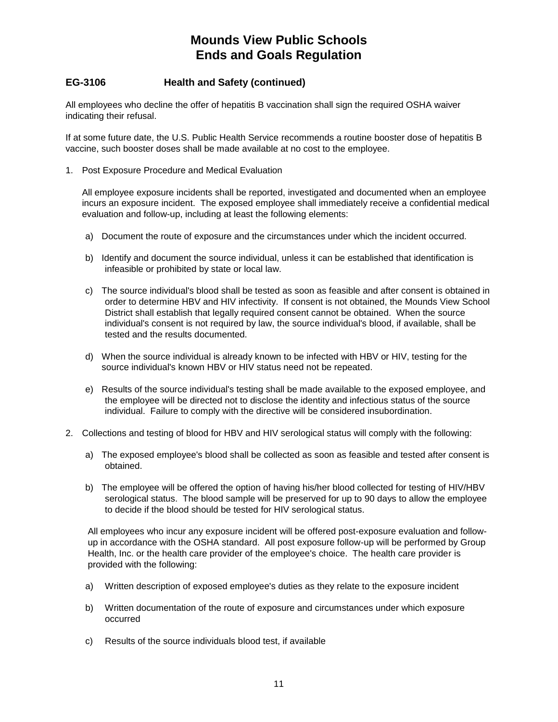# **EG-3106 Health and Safety (continued)**

All employees who decline the offer of hepatitis B vaccination shall sign the required OSHA waiver indicating their refusal.

If at some future date, the U.S. Public Health Service recommends a routine booster dose of hepatitis B vaccine, such booster doses shall be made available at no cost to the employee.

1. Post Exposure Procedure and Medical Evaluation

All employee exposure incidents shall be reported, investigated and documented when an employee incurs an exposure incident. The exposed employee shall immediately receive a confidential medical evaluation and follow-up, including at least the following elements:

- a) Document the route of exposure and the circumstances under which the incident occurred.
- b) Identify and document the source individual, unless it can be established that identification is infeasible or prohibited by state or local law.
- c) The source individual's blood shall be tested as soon as feasible and after consent is obtained in order to determine HBV and HIV infectivity. If consent is not obtained, the Mounds View School District shall establish that legally required consent cannot be obtained. When the source individual's consent is not required by law, the source individual's blood, if available, shall be tested and the results documented.
- d) When the source individual is already known to be infected with HBV or HIV, testing for the source individual's known HBV or HIV status need not be repeated.
- e) Results of the source individual's testing shall be made available to the exposed employee, and the employee will be directed not to disclose the identity and infectious status of the source individual. Failure to comply with the directive will be considered insubordination.
- 2. Collections and testing of blood for HBV and HIV serological status will comply with the following:
	- a) The exposed employee's blood shall be collected as soon as feasible and tested after consent is obtained.
	- b) The employee will be offered the option of having his/her blood collected for testing of HIV/HBV serological status. The blood sample will be preserved for up to 90 days to allow the employee to decide if the blood should be tested for HIV serological status.

All employees who incur any exposure incident will be offered post-exposure evaluation and followup in accordance with the OSHA standard. All post exposure follow-up will be performed by Group Health, Inc. or the health care provider of the employee's choice. The health care provider is provided with the following:

- a) Written description of exposed employee's duties as they relate to the exposure incident
- b) Written documentation of the route of exposure and circumstances under which exposure occurred
- c) Results of the source individuals blood test, if available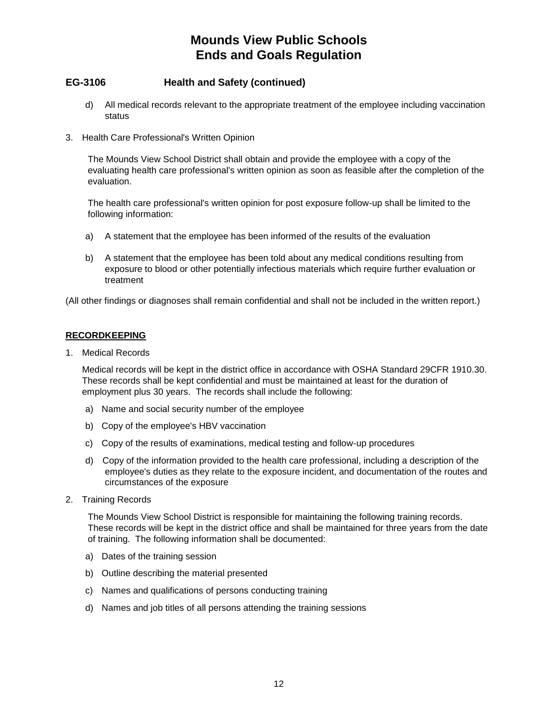# **EG-3106 Health and Safety (continued)**

- d) All medical records relevant to the appropriate treatment of the employee including vaccination status
- 3. Health Care Professional's Written Opinion

The Mounds View School District shall obtain and provide the employee with a copy of the evaluating health care professional's written opinion as soon as feasible after the completion of the evaluation.

The health care professional's written opinion for post exposure follow-up shall be limited to the following information:

- a) A statement that the employee has been informed of the results of the evaluation
- b) A statement that the employee has been told about any medical conditions resulting from exposure to blood or other potentially infectious materials which require further evaluation or treatment

(All other findings or diagnoses shall remain confidential and shall not be included in the written report.)

## **RECORDKEEPING**

1. Medical Records

Medical records will be kept in the district office in accordance with OSHA Standard 29CFR 1910.30. These records shall be kept confidential and must be maintained at least for the duration of employment plus 30 years. The records shall include the following:

- a) Name and social security number of the employee
- b) Copy of the employee's HBV vaccination
- c) Copy of the results of examinations, medical testing and follow-up procedures
- d) Copy of the information provided to the health care professional, including a description of the employee's duties as they relate to the exposure incident, and documentation of the routes and circumstances of the exposure
- 2. Training Records

The Mounds View School District is responsible for maintaining the following training records. These records will be kept in the district office and shall be maintained for three years from the date of training. The following information shall be documented:

- a) Dates of the training session
- b) Outline describing the material presented
- c) Names and qualifications of persons conducting training
- d) Names and job titles of all persons attending the training sessions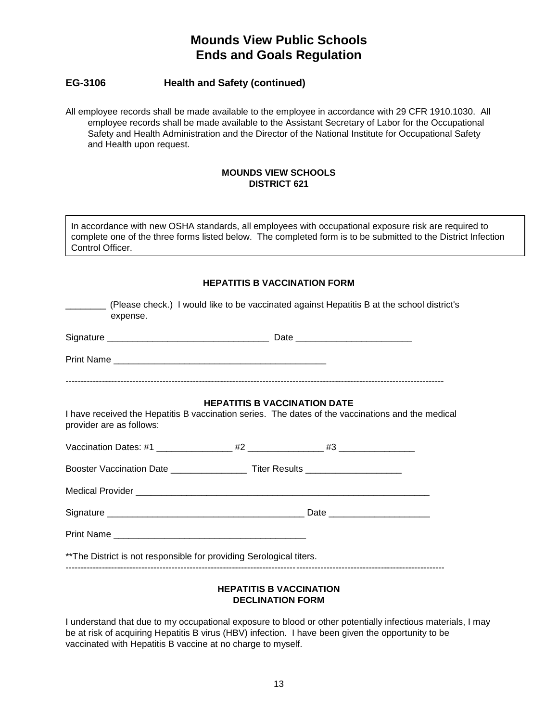# **EG-3106 Health and Safety (continued)**

All employee records shall be made available to the employee in accordance with 29 CFR 1910.1030. All employee records shall be made available to the Assistant Secretary of Labor for the Occupational Safety and Health Administration and the Director of the National Institute for Occupational Safety and Health upon request.

## **MOUNDS VIEW SCHOOLS DISTRICT 621**

In accordance with new OSHA standards, all employees with occupational exposure risk are required to complete one of the three forms listed below. The completed form is to be submitted to the District Infection Control Officer.

# **HEPATITIS B VACCINATION FORM**

| (Please check.) I would like to be vaccinated against Hepatitis B at the school district's<br>expense. |                                     |                                                                                                   |  |
|--------------------------------------------------------------------------------------------------------|-------------------------------------|---------------------------------------------------------------------------------------------------|--|
|                                                                                                        |                                     |                                                                                                   |  |
|                                                                                                        |                                     |                                                                                                   |  |
| provider are as follows:                                                                               | <b>HEPATITIS B VACCINATION DATE</b> | I have received the Hepatitis B vaccination series. The dates of the vaccinations and the medical |  |
|                                                                                                        |                                     |                                                                                                   |  |
| Booster Vaccination Date ___________________Titer Results ______________________                       |                                     |                                                                                                   |  |
|                                                                                                        |                                     |                                                                                                   |  |
|                                                                                                        |                                     |                                                                                                   |  |
|                                                                                                        |                                     |                                                                                                   |  |
| ** The District is not responsible for providing Serological titers.                                   |                                     |                                                                                                   |  |

## **HEPATITIS B VACCINATION DECLINATION FORM**

I understand that due to my occupational exposure to blood or other potentially infectious materials, I may be at risk of acquiring Hepatitis B virus (HBV) infection. I have been given the opportunity to be vaccinated with Hepatitis B vaccine at no charge to myself.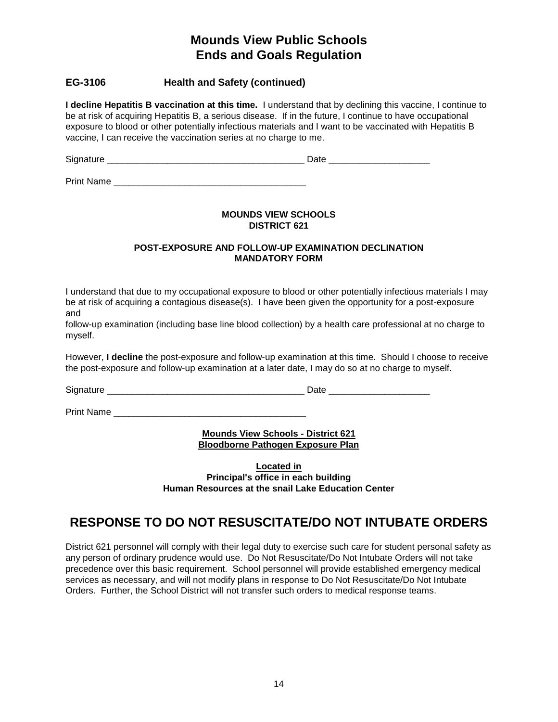# **EG-3106 Health and Safety (continued)**

**I decline Hepatitis B vaccination at this time.** I understand that by declining this vaccine, I continue to be at risk of acquiring Hepatitis B, a serious disease. If in the future, I continue to have occupational exposure to blood or other potentially infectious materials and I want to be vaccinated with Hepatitis B vaccine, I can receive the vaccination series at no charge to me.

Signature \_\_\_\_\_\_\_\_\_\_\_\_\_\_\_\_\_\_\_\_\_\_\_\_\_\_\_\_\_\_\_\_\_\_\_\_\_\_\_ Date \_\_\_\_\_\_\_\_\_\_\_\_\_\_\_\_\_\_\_\_

Print Name

## **MOUNDS VIEW SCHOOLS DISTRICT 621**

## **POST-EXPOSURE AND FOLLOW-UP EXAMINATION DECLINATION MANDATORY FORM**

I understand that due to my occupational exposure to blood or other potentially infectious materials I may be at risk of acquiring a contagious disease(s). I have been given the opportunity for a post-exposure and

follow-up examination (including base line blood collection) by a health care professional at no charge to myself.

However, **I decline** the post-exposure and follow-up examination at this time. Should I choose to receive the post-exposure and follow-up examination at a later date, I may do so at no charge to myself.

Signature \_\_\_\_\_\_\_\_\_\_\_\_\_\_\_\_\_\_\_\_\_\_\_\_\_\_\_\_\_\_\_\_\_\_\_\_\_\_\_ Date \_\_\_\_\_\_\_\_\_\_\_\_\_\_\_\_\_\_\_\_

Print Name

**Mounds View Schools - District 621 Bloodborne Pathogen Exposure Plan**

**Located in Principal's office in each building Human Resources at the snail Lake Education Center**

# **RESPONSE TO DO NOT RESUSCITATE/DO NOT INTUBATE ORDERS**

District 621 personnel will comply with their legal duty to exercise such care for student personal safety as any person of ordinary prudence would use. Do Not Resuscitate/Do Not Intubate Orders will not take precedence over this basic requirement. School personnel will provide established emergency medical services as necessary, and will not modify plans in response to Do Not Resuscitate/Do Not Intubate Orders. Further, the School District will not transfer such orders to medical response teams.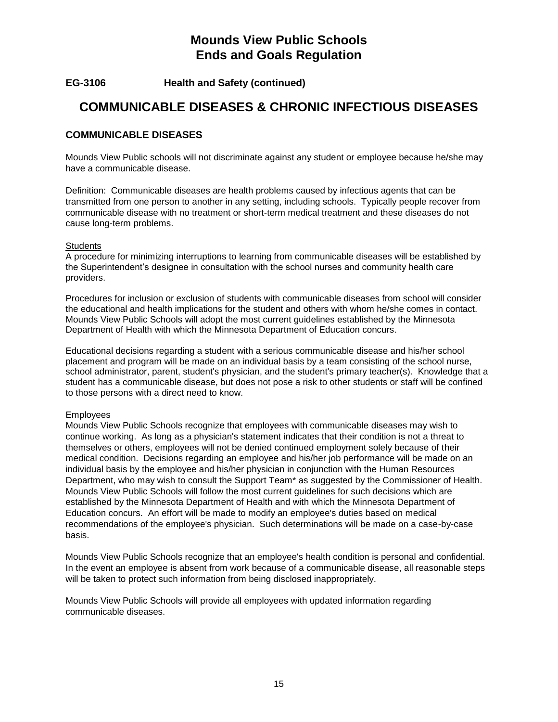**EG-3106 Health and Safety (continued)**

# **COMMUNICABLE DISEASES & CHRONIC INFECTIOUS DISEASES**

# **COMMUNICABLE DISEASES**

Mounds View Public schools will not discriminate against any student or employee because he/she may have a communicable disease.

Definition: Communicable diseases are health problems caused by infectious agents that can be transmitted from one person to another in any setting, including schools. Typically people recover from communicable disease with no treatment or short-term medical treatment and these diseases do not cause long-term problems.

## **Students**

A procedure for minimizing interruptions to learning from communicable diseases will be established by the Superintendent's designee in consultation with the school nurses and community health care providers.

Procedures for inclusion or exclusion of students with communicable diseases from school will consider the educational and health implications for the student and others with whom he/she comes in contact. Mounds View Public Schools will adopt the most current guidelines established by the Minnesota Department of Health with which the Minnesota Department of Education concurs.

Educational decisions regarding a student with a serious communicable disease and his/her school placement and program will be made on an individual basis by a team consisting of the school nurse, school administrator, parent, student's physician, and the student's primary teacher(s). Knowledge that a student has a communicable disease, but does not pose a risk to other students or staff will be confined to those persons with a direct need to know.

## Employees

Mounds View Public Schools recognize that employees with communicable diseases may wish to continue working. As long as a physician's statement indicates that their condition is not a threat to themselves or others, employees will not be denied continued employment solely because of their medical condition. Decisions regarding an employee and his/her job performance will be made on an individual basis by the employee and his/her physician in conjunction with the Human Resources Department, who may wish to consult the Support Team\* as suggested by the Commissioner of Health. Mounds View Public Schools will follow the most current guidelines for such decisions which are established by the Minnesota Department of Health and with which the Minnesota Department of Education concurs. An effort will be made to modify an employee's duties based on medical recommendations of the employee's physician. Such determinations will be made on a case-by-case basis.

Mounds View Public Schools recognize that an employee's health condition is personal and confidential. In the event an employee is absent from work because of a communicable disease, all reasonable steps will be taken to protect such information from being disclosed inappropriately.

Mounds View Public Schools will provide all employees with updated information regarding communicable diseases.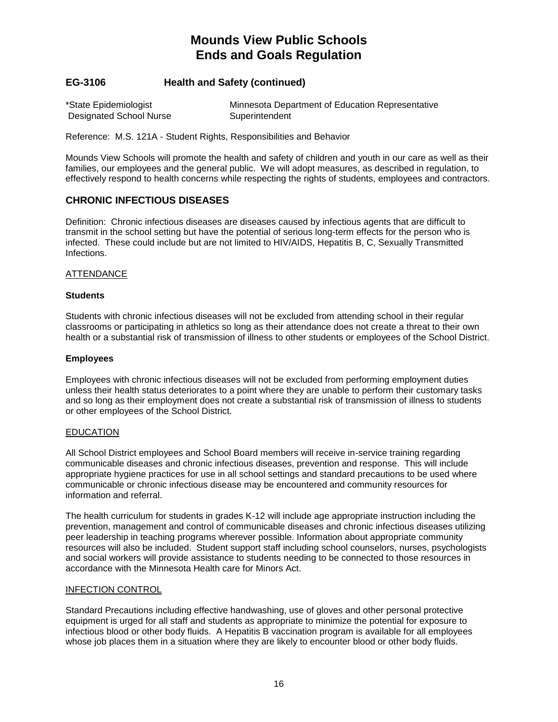# **EG-3106 Health and Safety (continued)**

| *State Epidemiologist   | Minnesota Department of Education Representative |
|-------------------------|--------------------------------------------------|
| Designated School Nurse | Superintendent                                   |

Reference: M.S. 121A - Student Rights, Responsibilities and Behavior

Mounds View Schools will promote the health and safety of children and youth in our care as well as their families, our employees and the general public. We will adopt measures, as described in regulation, to effectively respond to health concerns while respecting the rights of students, employees and contractors.

## **CHRONIC INFECTIOUS DISEASES**

Definition: Chronic infectious diseases are diseases caused by infectious agents that are difficult to transmit in the school setting but have the potential of serious long-term effects for the person who is infected. These could include but are not limited to HIV/AIDS, Hepatitis B, C, Sexually Transmitted Infections.

## ATTENDANCE

## **Students**

Students with chronic infectious diseases will not be excluded from attending school in their regular classrooms or participating in athletics so long as their attendance does not create a threat to their own health or a substantial risk of transmission of illness to other students or employees of the School District.

## **Employees**

Employees with chronic infectious diseases will not be excluded from performing employment duties unless their health status deteriorates to a point where they are unable to perform their customary tasks and so long as their employment does not create a substantial risk of transmission of illness to students or other employees of the School District.

#### EDUCATION

All School District employees and School Board members will receive in-service training regarding communicable diseases and chronic infectious diseases, prevention and response. This will include appropriate hygiene practices for use in all school settings and standard precautions to be used where communicable or chronic infectious disease may be encountered and community resources for information and referral.

The health curriculum for students in grades K-12 will include age appropriate instruction including the prevention, management and control of communicable diseases and chronic infectious diseases utilizing peer leadership in teaching programs wherever possible. Information about appropriate community resources will also be included. Student support staff including school counselors, nurses, psychologists and social workers will provide assistance to students needing to be connected to those resources in accordance with the Minnesota Health care for Minors Act.

#### INFECTION CONTROL

Standard Precautions including effective handwashing, use of gloves and other personal protective equipment is urged for all staff and students as appropriate to minimize the potential for exposure to infectious blood or other body fluids. A Hepatitis B vaccination program is available for all employees whose job places them in a situation where they are likely to encounter blood or other body fluids.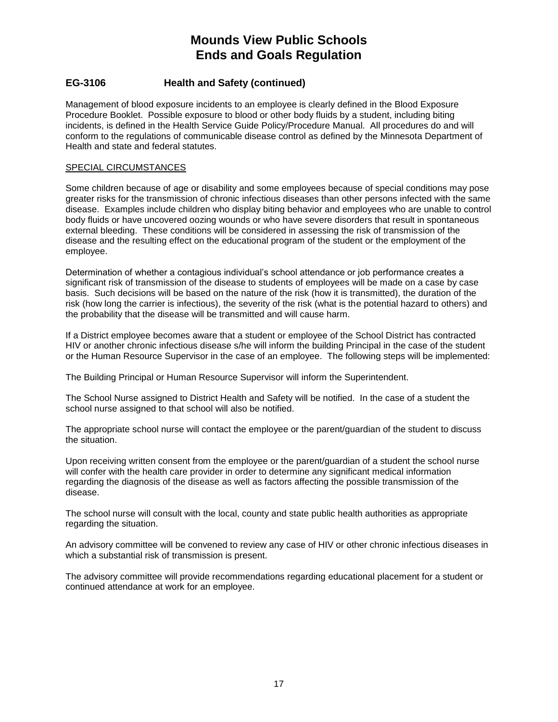# **EG-3106 Health and Safety (continued)**

Management of blood exposure incidents to an employee is clearly defined in the Blood Exposure Procedure Booklet. Possible exposure to blood or other body fluids by a student, including biting incidents, is defined in the Health Service Guide Policy/Procedure Manual. All procedures do and will conform to the regulations of communicable disease control as defined by the Minnesota Department of Health and state and federal statutes.

#### SPECIAL CIRCUMSTANCES

Some children because of age or disability and some employees because of special conditions may pose greater risks for the transmission of chronic infectious diseases than other persons infected with the same disease. Examples include children who display biting behavior and employees who are unable to control body fluids or have uncovered oozing wounds or who have severe disorders that result in spontaneous external bleeding. These conditions will be considered in assessing the risk of transmission of the disease and the resulting effect on the educational program of the student or the employment of the employee.

Determination of whether a contagious individual's school attendance or job performance creates a significant risk of transmission of the disease to students of employees will be made on a case by case basis. Such decisions will be based on the nature of the risk (how it is transmitted), the duration of the risk (how long the carrier is infectious), the severity of the risk (what is the potential hazard to others) and the probability that the disease will be transmitted and will cause harm.

If a District employee becomes aware that a student or employee of the School District has contracted HIV or another chronic infectious disease s/he will inform the building Principal in the case of the student or the Human Resource Supervisor in the case of an employee. The following steps will be implemented:

The Building Principal or Human Resource Supervisor will inform the Superintendent.

The School Nurse assigned to District Health and Safety will be notified. In the case of a student the school nurse assigned to that school will also be notified.

The appropriate school nurse will contact the employee or the parent/guardian of the student to discuss the situation.

Upon receiving written consent from the employee or the parent/guardian of a student the school nurse will confer with the health care provider in order to determine any significant medical information regarding the diagnosis of the disease as well as factors affecting the possible transmission of the disease.

The school nurse will consult with the local, county and state public health authorities as appropriate regarding the situation.

An advisory committee will be convened to review any case of HIV or other chronic infectious diseases in which a substantial risk of transmission is present.

The advisory committee will provide recommendations regarding educational placement for a student or continued attendance at work for an employee.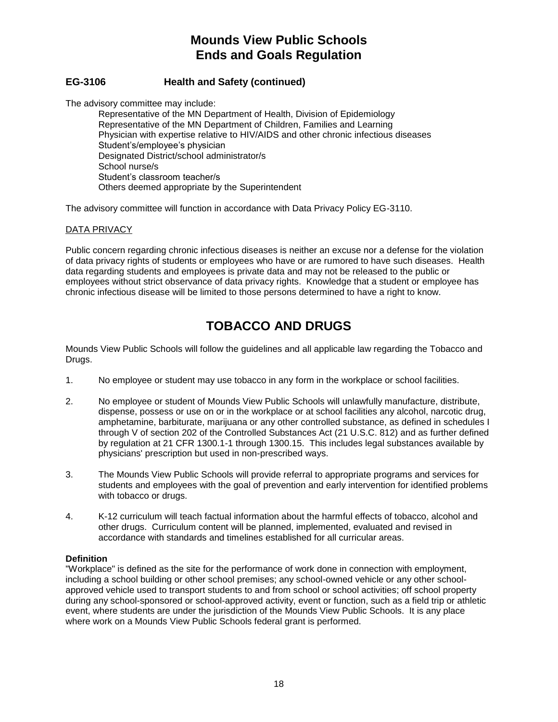# **EG-3106 Health and Safety (continued)**

The advisory committee may include:

Representative of the MN Department of Health, Division of Epidemiology Representative of the MN Department of Children, Families and Learning Physician with expertise relative to HIV/AIDS and other chronic infectious diseases Student's/employee's physician Designated District/school administrator/s School nurse/s Student's classroom teacher/s Others deemed appropriate by the Superintendent

The advisory committee will function in accordance with Data Privacy Policy EG-3110.

## DATA PRIVACY

Public concern regarding chronic infectious diseases is neither an excuse nor a defense for the violation of data privacy rights of students or employees who have or are rumored to have such diseases. Health data regarding students and employees is private data and may not be released to the public or employees without strict observance of data privacy rights. Knowledge that a student or employee has chronic infectious disease will be limited to those persons determined to have a right to know.

# **TOBACCO AND DRUGS**

Mounds View Public Schools will follow the guidelines and all applicable law regarding the Tobacco and Drugs.

- 1. No employee or student may use tobacco in any form in the workplace or school facilities.
- 2. No employee or student of Mounds View Public Schools will unlawfully manufacture, distribute, dispense, possess or use on or in the workplace or at school facilities any alcohol, narcotic drug, amphetamine, barbiturate, marijuana or any other controlled substance, as defined in schedules I through V of section 202 of the Controlled Substances Act (21 U.S.C. 812) and as further defined by regulation at 21 CFR 1300.1-1 through 1300.15. This includes legal substances available by physicians' prescription but used in non-prescribed ways.
- 3. The Mounds View Public Schools will provide referral to appropriate programs and services for students and employees with the goal of prevention and early intervention for identified problems with tobacco or drugs.
- 4. K-12 curriculum will teach factual information about the harmful effects of tobacco, alcohol and other drugs. Curriculum content will be planned, implemented, evaluated and revised in accordance with standards and timelines established for all curricular areas.

#### **Definition**

"Workplace" is defined as the site for the performance of work done in connection with employment, including a school building or other school premises; any school-owned vehicle or any other schoolapproved vehicle used to transport students to and from school or school activities; off school property during any school-sponsored or school-approved activity, event or function, such as a field trip or athletic event, where students are under the jurisdiction of the Mounds View Public Schools. It is any place where work on a Mounds View Public Schools federal grant is performed.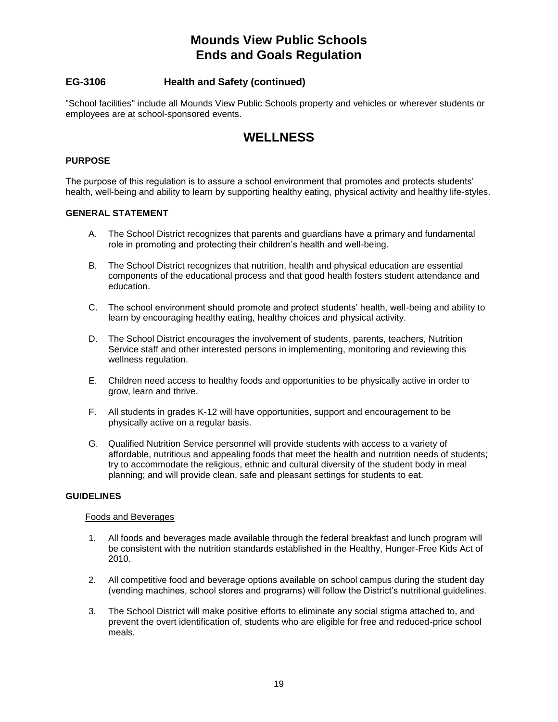# **EG-3106 Health and Safety (continued)**

"School facilities" include all Mounds View Public Schools property and vehicles or wherever students or employees are at school-sponsored events.

# **WELLNESS**

## **PURPOSE**

The purpose of this regulation is to assure a school environment that promotes and protects students' health, well-being and ability to learn by supporting healthy eating, physical activity and healthy life-styles.

## **GENERAL STATEMENT**

- A. The School District recognizes that parents and guardians have a primary and fundamental role in promoting and protecting their children's health and well-being.
- B. The School District recognizes that nutrition, health and physical education are essential components of the educational process and that good health fosters student attendance and education.
- C. The school environment should promote and protect students' health, well-being and ability to learn by encouraging healthy eating, healthy choices and physical activity.
- D. The School District encourages the involvement of students, parents, teachers, Nutrition Service staff and other interested persons in implementing, monitoring and reviewing this wellness regulation.
- E. Children need access to healthy foods and opportunities to be physically active in order to grow, learn and thrive.
- F. All students in grades K-12 will have opportunities, support and encouragement to be physically active on a regular basis.
- G. Qualified Nutrition Service personnel will provide students with access to a variety of affordable, nutritious and appealing foods that meet the health and nutrition needs of students; try to accommodate the religious, ethnic and cultural diversity of the student body in meal planning; and will provide clean, safe and pleasant settings for students to eat.

## **GUIDELINES**

#### Foods and Beverages

- 1. All foods and beverages made available through the federal breakfast and lunch program will be consistent with the nutrition standards established in the Healthy, Hunger-Free Kids Act of 2010.
- 2. All competitive food and beverage options available on school campus during the student day (vending machines, school stores and programs) will follow the District's nutritional guidelines.
- 3. The School District will make positive efforts to eliminate any social stigma attached to, and prevent the overt identification of, students who are eligible for free and reduced-price school meals.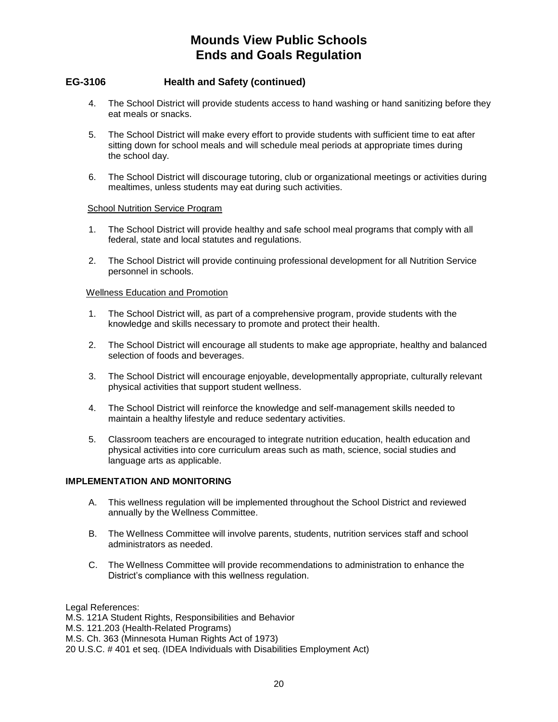# **EG-3106 Health and Safety (continued)**

- 4. The School District will provide students access to hand washing or hand sanitizing before they eat meals or snacks.
- 5. The School District will make every effort to provide students with sufficient time to eat after sitting down for school meals and will schedule meal periods at appropriate times during the school day.
- 6. The School District will discourage tutoring, club or organizational meetings or activities during mealtimes, unless students may eat during such activities.

## School Nutrition Service Program

- 1. The School District will provide healthy and safe school meal programs that comply with all federal, state and local statutes and regulations.
- 2. The School District will provide continuing professional development for all Nutrition Service personnel in schools.

## Wellness Education and Promotion

- 1. The School District will, as part of a comprehensive program, provide students with the knowledge and skills necessary to promote and protect their health.
- 2. The School District will encourage all students to make age appropriate, healthy and balanced selection of foods and beverages.
- 3. The School District will encourage enjoyable, developmentally appropriate, culturally relevant physical activities that support student wellness.
- 4. The School District will reinforce the knowledge and self-management skills needed to maintain a healthy lifestyle and reduce sedentary activities.
- 5. Classroom teachers are encouraged to integrate nutrition education, health education and physical activities into core curriculum areas such as math, science, social studies and language arts as applicable.

## **IMPLEMENTATION AND MONITORING**

- A. This wellness regulation will be implemented throughout the School District and reviewed annually by the Wellness Committee.
- B. The Wellness Committee will involve parents, students, nutrition services staff and school administrators as needed.
- C. The Wellness Committee will provide recommendations to administration to enhance the District's compliance with this wellness regulation.

Legal References:

M.S. 121A Student Rights, Responsibilities and Behavior

M.S. 121.203 (Health-Related Programs)

M.S. Ch. 363 (Minnesota Human Rights Act of 1973)

20 U.S.C. # 401 et seq. (IDEA Individuals with Disabilities Employment Act)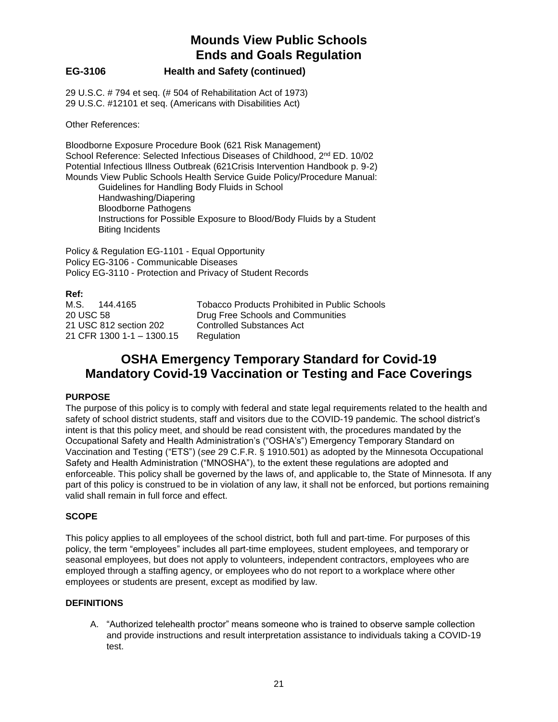# **EG-3106 Health and Safety (continued)**

29 U.S.C. # 794 et seq. (# 504 of Rehabilitation Act of 1973) 29 U.S.C. #12101 et seq. (Americans with Disabilities Act)

Other References:

Bloodborne Exposure Procedure Book (621 Risk Management) School Reference: Selected Infectious Diseases of Childhood, 2<sup>nd</sup> ED. 10/02 Potential Infectious Illness Outbreak (621Crisis Intervention Handbook p. 9-2) Mounds View Public Schools Health Service Guide Policy/Procedure Manual:

Guidelines for Handling Body Fluids in School Handwashing/Diapering Bloodborne Pathogens Instructions for Possible Exposure to Blood/Body Fluids by a Student Biting Incidents

Policy & Regulation EG-1101 - Equal Opportunity Policy EG-3106 - Communicable Diseases Policy EG-3110 - Protection and Privacy of Student Records

**Ref:** M.S. 144.4165 Tobacco Products Prohibited in Public Schools 20 USC 58 Drug Free Schools and Communities 21 USC 812 section 202 Controlled Substances Act 21 CFR 1300 1-1 – 1300.15 Regulation

# **OSHA Emergency Temporary Standard for Covid-19 Mandatory Covid-19 Vaccination or Testing and Face Coverings**

## **PURPOSE**

The purpose of this policy is to comply with federal and state legal requirements related to the health and safety of school district students, staff and visitors due to the COVID-19 pandemic. The school district's intent is that this policy meet, and should be read consistent with, the procedures mandated by the Occupational Safety and Health Administration's ("OSHA's") Emergency Temporary Standard on Vaccination and Testing ("ETS") (*see* 29 C.F.R. § 1910.501) as adopted by the Minnesota Occupational Safety and Health Administration ("MNOSHA"), to the extent these regulations are adopted and enforceable. This policy shall be governed by the laws of, and applicable to, the State of Minnesota. If any part of this policy is construed to be in violation of any law, it shall not be enforced, but portions remaining valid shall remain in full force and effect.

## **SCOPE**

This policy applies to all employees of the school district, both full and part-time. For purposes of this policy, the term "employees" includes all part-time employees, student employees, and temporary or seasonal employees, but does not apply to volunteers, independent contractors, employees who are employed through a staffing agency, or employees who do not report to a workplace where other employees or students are present, except as modified by law.

## **DEFINITIONS**

A. "Authorized telehealth proctor" means someone who is trained to observe sample collection and provide instructions and result interpretation assistance to individuals taking a COVID-19 test.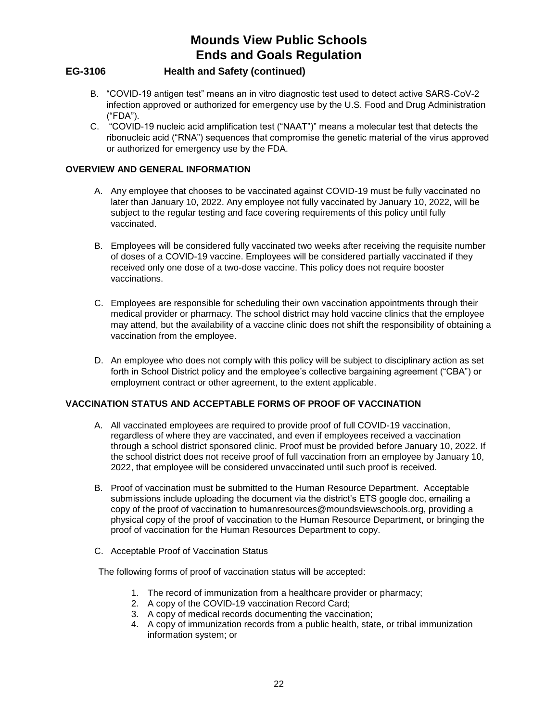# **EG-3106 Health and Safety (continued)**

- B. "COVID-19 antigen test" means an in vitro diagnostic test used to detect active SARS-CoV-2 infection approved or authorized for emergency use by the U.S. Food and Drug Administration ("FDA").
- C. "COVID-19 nucleic acid amplification test ("NAAT")" means a molecular test that detects the ribonucleic acid ("RNA") sequences that compromise the genetic material of the virus approved or authorized for emergency use by the FDA.

## **OVERVIEW AND GENERAL INFORMATION**

- A. Any employee that chooses to be vaccinated against COVID-19 must be fully vaccinated no later than January 10, 2022. Any employee not fully vaccinated by January 10, 2022, will be subject to the regular testing and face covering requirements of this policy until fully vaccinated.
- B. Employees will be considered fully vaccinated two weeks after receiving the requisite number of doses of a COVID-19 vaccine. Employees will be considered partially vaccinated if they received only one dose of a two-dose vaccine. This policy does not require booster vaccinations.
- C. Employees are responsible for scheduling their own vaccination appointments through their medical provider or pharmacy. The school district may hold vaccine clinics that the employee may attend, but the availability of a vaccine clinic does not shift the responsibility of obtaining a vaccination from the employee.
- D. An employee who does not comply with this policy will be subject to disciplinary action as set forth in School District policy and the employee's collective bargaining agreement ("CBA") or employment contract or other agreement, to the extent applicable.

# **VACCINATION STATUS AND ACCEPTABLE FORMS OF PROOF OF VACCINATION**

- A. All vaccinated employees are required to provide proof of full COVID-19 vaccination, regardless of where they are vaccinated, and even if employees received a vaccination through a school district sponsored clinic. Proof must be provided before January 10, 2022. If the school district does not receive proof of full vaccination from an employee by January 10, 2022, that employee will be considered unvaccinated until such proof is received.
- B. Proof of vaccination must be submitted to the Human Resource Department. Acceptable submissions include uploading the document via the district's ETS google doc, emailing a copy of the proof of vaccination to humanresources@moundsviewschools.org, providing a physical copy of the proof of vaccination to the Human Resource Department, or bringing the proof of vaccination for the Human Resources Department to copy.
- C. Acceptable Proof of Vaccination Status

The following forms of proof of vaccination status will be accepted:

- 1. The record of immunization from a healthcare provider or pharmacy;
- 2. A copy of the COVID-19 vaccination Record Card;
- 3. A copy of medical records documenting the vaccination;
- 4. A copy of immunization records from a public health, state, or tribal immunization information system; or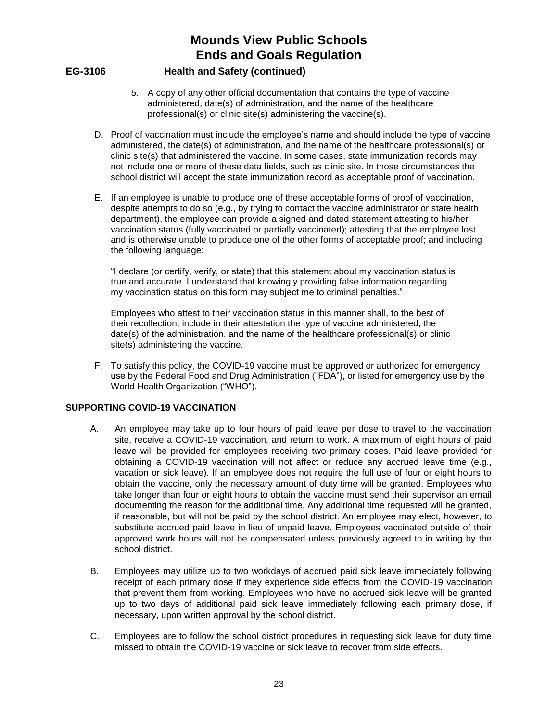## **EG-3106 Health and Safety (continued)**

- 5. A copy of any other official documentation that contains the type of vaccine administered, date(s) of administration, and the name of the healthcare professional(s) or clinic site(s) administering the vaccine(s).
- D. Proof of vaccination must include the employee's name and should include the type of vaccine administered, the date(s) of administration, and the name of the healthcare professional(s) or clinic site(s) that administered the vaccine. In some cases, state immunization records may not include one or more of these data fields, such as clinic site. In those circumstances the school district will accept the state immunization record as acceptable proof of vaccination.
- E. If an employee is unable to produce one of these acceptable forms of proof of vaccination, despite attempts to do so (e.g., by trying to contact the vaccine administrator or state health department), the employee can provide a signed and dated statement attesting to his/her vaccination status (fully vaccinated or partially vaccinated); attesting that the employee lost and is otherwise unable to produce one of the other forms of acceptable proof; and including the following language:

"I declare (or certify, verify, or state) that this statement about my vaccination status is true and accurate. I understand that knowingly providing false information regarding my vaccination status on this form may subject me to criminal penalties."

Employees who attest to their vaccination status in this manner shall, to the best of their recollection, include in their attestation the type of vaccine administered, the date(s) of the administration, and the name of the healthcare professional(s) or clinic site(s) administering the vaccine.

F. To satisfy this policy, the COVID-19 vaccine must be approved or authorized for emergency use by the Federal Food and Drug Administration ("FDA"), or listed for emergency use by the World Health Organization ("WHO").

## **SUPPORTING COVID-19 VACCINATION**

- A. An employee may take up to four hours of paid leave per dose to travel to the vaccination site, receive a COVID-19 vaccination, and return to work. A maximum of eight hours of paid leave will be provided for employees receiving two primary doses. Paid leave provided for obtaining a COVID-19 vaccination will not affect or reduce any accrued leave time (e.g., vacation or sick leave). If an employee does not require the full use of four or eight hours to obtain the vaccine, only the necessary amount of duty time will be granted. Employees who take longer than four or eight hours to obtain the vaccine must send their supervisor an email documenting the reason for the additional time. Any additional time requested will be granted, if reasonable, but will not be paid by the school district. An employee may elect, however, to substitute accrued paid leave in lieu of unpaid leave. Employees vaccinated outside of their approved work hours will not be compensated unless previously agreed to in writing by the school district.
- B. Employees may utilize up to two workdays of accrued paid sick leave immediately following receipt of each primary dose if they experience side effects from the COVID-19 vaccination that prevent them from working. Employees who have no accrued sick leave will be granted up to two days of additional paid sick leave immediately following each primary dose, if necessary, upon written approval by the school district.
- C. Employees are to follow the school district procedures in requesting sick leave for duty time missed to obtain the COVID-19 vaccine or sick leave to recover from side effects.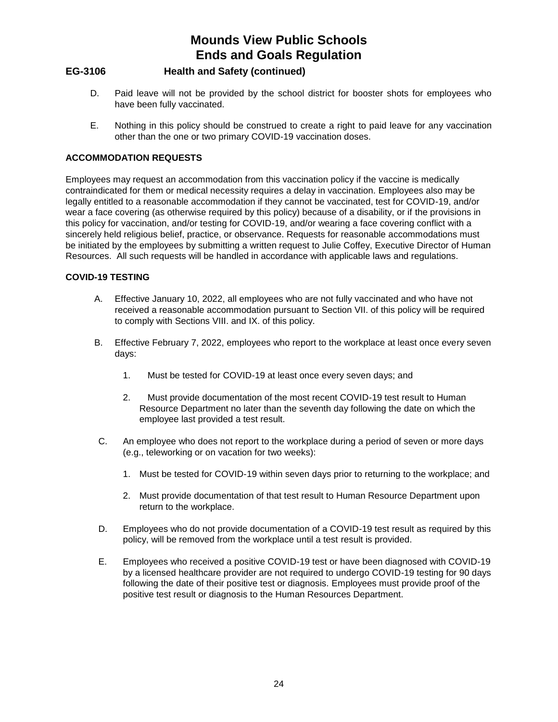# **EG-3106 Health and Safety (continued)**

- D. Paid leave will not be provided by the school district for booster shots for employees who have been fully vaccinated.
- E. Nothing in this policy should be construed to create a right to paid leave for any vaccination other than the one or two primary COVID-19 vaccination doses.

## **ACCOMMODATION REQUESTS**

Employees may request an accommodation from this vaccination policy if the vaccine is medically contraindicated for them or medical necessity requires a delay in vaccination. Employees also may be legally entitled to a reasonable accommodation if they cannot be vaccinated, test for COVID-19, and/or wear a face covering (as otherwise required by this policy) because of a disability, or if the provisions in this policy for vaccination, and/or testing for COVID-19, and/or wearing a face covering conflict with a sincerely held religious belief, practice, or observance. Requests for reasonable accommodations must be initiated by the employees by submitting a written request to Julie Coffey, Executive Director of Human Resources. All such requests will be handled in accordance with applicable laws and regulations.

## **COVID-19 TESTING**

- A. Effective January 10, 2022, all employees who are not fully vaccinated and who have not received a reasonable accommodation pursuant to Section VII. of this policy will be required to comply with Sections VIII. and IX. of this policy.
- B. Effective February 7, 2022, employees who report to the workplace at least once every seven days:
	- 1. Must be tested for COVID-19 at least once every seven days; and
	- 2. Must provide documentation of the most recent COVID-19 test result to Human Resource Department no later than the seventh day following the date on which the employee last provided a test result.
- C. An employee who does not report to the workplace during a period of seven or more days (e.g., teleworking or on vacation for two weeks):
	- 1. Must be tested for COVID-19 within seven days prior to returning to the workplace; and
	- 2. Must provide documentation of that test result to Human Resource Department upon return to the workplace.
- D. Employees who do not provide documentation of a COVID-19 test result as required by this policy, will be removed from the workplace until a test result is provided.
- E. Employees who received a positive COVID-19 test or have been diagnosed with COVID-19 by a licensed healthcare provider are not required to undergo COVID-19 testing for 90 days following the date of their positive test or diagnosis. Employees must provide proof of the positive test result or diagnosis to the Human Resources Department.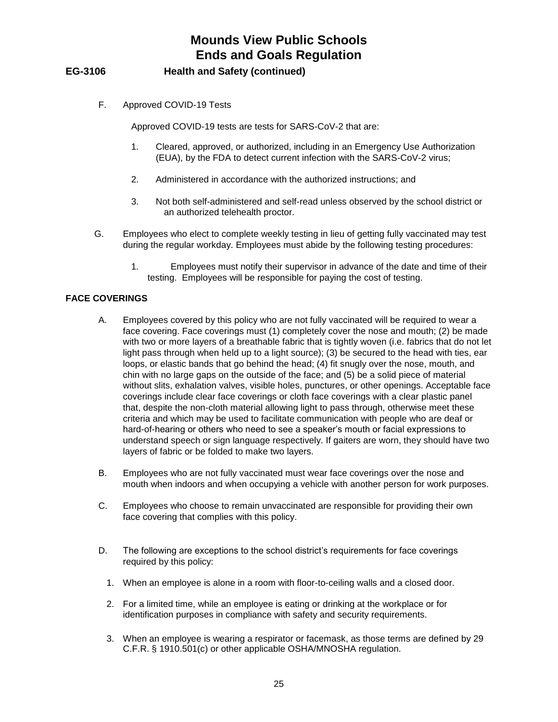# **EG-3106 Health and Safety (continued)**

F. Approved COVID-19 Tests

Approved COVID-19 tests are tests for SARS-CoV-2 that are:

- 1. Cleared, approved, or authorized, including in an Emergency Use Authorization (EUA), by the FDA to detect current infection with the SARS-CoV-2 virus;
- 2. Administered in accordance with the authorized instructions; and
- 3. Not both self-administered and self-read unless observed by the school district or an authorized telehealth proctor.
- G. Employees who elect to complete weekly testing in lieu of getting fully vaccinated may test during the regular workday. Employees must abide by the following testing procedures:
	- 1. Employees must notify their supervisor in advance of the date and time of their testing. Employees will be responsible for paying the cost of testing.

## **FACE COVERINGS**

- A. Employees covered by this policy who are not fully vaccinated will be required to wear a face covering. Face coverings must (1) completely cover the nose and mouth; (2) be made with two or more layers of a breathable fabric that is tightly woven (i.e. fabrics that do not let light pass through when held up to a light source); (3) be secured to the head with ties, ear loops, or elastic bands that go behind the head; (4) fit snugly over the nose, mouth, and chin with no large gaps on the outside of the face; and (5) be a solid piece of material without slits, exhalation valves, visible holes, punctures, or other openings. Acceptable face coverings include clear face coverings or cloth face coverings with a clear plastic panel that, despite the non-cloth material allowing light to pass through, otherwise meet these criteria and which may be used to facilitate communication with people who are deaf or hard-of-hearing or others who need to see a speaker's mouth or facial expressions to understand speech or sign language respectively. If gaiters are worn, they should have two layers of fabric or be folded to make two layers.
- B. Employees who are not fully vaccinated must wear face coverings over the nose and mouth when indoors and when occupying a vehicle with another person for work purposes.
- C. Employees who choose to remain unvaccinated are responsible for providing their own face covering that complies with this policy.
- D. The following are exceptions to the school district's requirements for face coverings required by this policy:
	- 1. When an employee is alone in a room with floor-to-ceiling walls and a closed door.
	- 2. For a limited time, while an employee is eating or drinking at the workplace or for identification purposes in compliance with safety and security requirements.
	- 3. When an employee is wearing a respirator or facemask, as those terms are defined by 29 C.F.R. § 1910.501(c) or other applicable OSHA/MNOSHA regulation.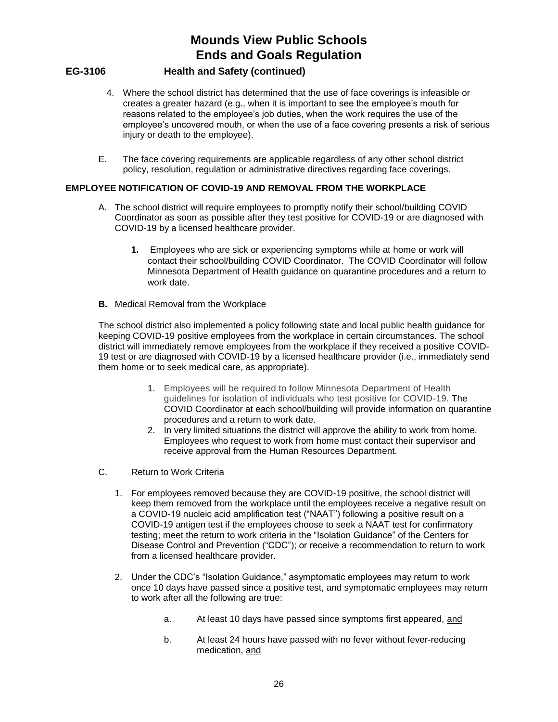- **EG-3106 Health and Safety (continued)**
	- 4. Where the school district has determined that the use of face coverings is infeasible or creates a greater hazard (e.g., when it is important to see the employee's mouth for reasons related to the employee's job duties, when the work requires the use of the employee's uncovered mouth, or when the use of a face covering presents a risk of serious injury or death to the employee).
	- E. The face covering requirements are applicable regardless of any other school district policy, resolution, regulation or administrative directives regarding face coverings.

## **EMPLOYEE NOTIFICATION OF COVID-19 AND REMOVAL FROM THE WORKPLACE**

- A. The school district will require employees to promptly notify their school/building COVID Coordinator as soon as possible after they test positive for COVID-19 or are diagnosed with COVID-19 by a licensed healthcare provider.
	- **1.** Employees who are sick or experiencing symptoms while at home or work will contact their school/building COVID Coordinator. The COVID Coordinator will follow Minnesota Department of Health guidance on quarantine procedures and a return to work date.
- **B.** Medical Removal from the Workplace

The school district also implemented a policy following state and local public health guidance for keeping COVID-19 positive employees from the workplace in certain circumstances. The school district will immediately remove employees from the workplace if they received a positive COVID-19 test or are diagnosed with COVID-19 by a licensed healthcare provider (i.e., immediately send them home or to seek medical care, as appropriate).

- 1. Employees will be required to follow Minnesota Department of Health guidelines for isolation of individuals who test positive for COVID-19. The COVID Coordinator at each school/building will provide information on quarantine procedures and a return to work date.
- 2. In very limited situations the district will approve the ability to work from home. Employees who request to work from home must contact their supervisor and receive approval from the Human Resources Department.
- C. Return to Work Criteria
	- 1. For employees removed because they are COVID-19 positive, the school district will keep them removed from the workplace until the employees receive a negative result on a COVID-19 nucleic acid amplification test ("NAAT") following a positive result on a COVID-19 antigen test if the employees choose to seek a NAAT test for confirmatory testing; meet the return to work criteria in the "Isolation Guidance" of the Centers for Disease Control and Prevention ("CDC"); or receive a recommendation to return to work from a licensed healthcare provider.
	- 2. Under the CDC's "Isolation Guidance," asymptomatic employees may return to work once 10 days have passed since a positive test, and symptomatic employees may return to work after all the following are true:
		- a. At least 10 days have passed since symptoms first appeared, and
		- b. At least 24 hours have passed with no fever without fever-reducing medication, and